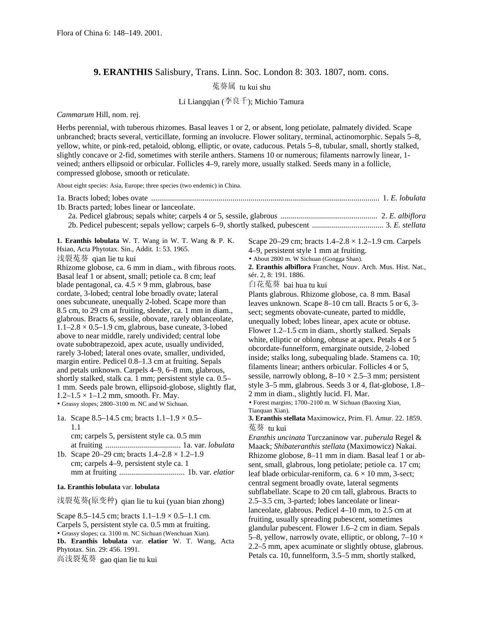## **9. ERANTHIS** Salisbury, Trans. Linn. Soc. London 8: 303. 1807, nom. cons.

菟葵属 tu kui shu

Li Liangqian (李良千); Michio Tamura

*Cammarum* Hill, nom. rej.

Herbs perennial, with tuberous rhizomes. Basal leaves 1 or 2, or absent, long petiolate, palmately divided. Scape unbranched; bracts several, verticillate, forming an involucre. Flower solitary, terminal, actinomorphic. Sepals 5–8, yellow, white, or pink-red, petaloid, oblong, elliptic, or ovate, caducous. Petals 5–8, tubular, small, shortly stalked, slightly concave or 2-fid, sometimes with sterile anthers. Stamens 10 or numerous; filaments narrowly linear, 1 veined; anthers ellipsoid or orbicular. Follicles 4–9, rarely more, usually stalked. Seeds many in a follicle, compressed globose, smooth or reticulate.

About eight species: Asia, Europe; three species (two endemic) in China.

| 1b. Bracts parted; lobes linear or lanceolate.                                                                                                                                                                                                                                                                                                                                                                                                                                                                                                                                                                                                                                                                                                                                                                                                                                                                                                                                                                                                                                                                                                                                                                      |                                                                                                                                                                                                                                                                                                                                                                                                                                                                                                                                                                                                                                                                                                                                                                                                                                                                                                                                                                                                                                                                                                                            |
|---------------------------------------------------------------------------------------------------------------------------------------------------------------------------------------------------------------------------------------------------------------------------------------------------------------------------------------------------------------------------------------------------------------------------------------------------------------------------------------------------------------------------------------------------------------------------------------------------------------------------------------------------------------------------------------------------------------------------------------------------------------------------------------------------------------------------------------------------------------------------------------------------------------------------------------------------------------------------------------------------------------------------------------------------------------------------------------------------------------------------------------------------------------------------------------------------------------------|----------------------------------------------------------------------------------------------------------------------------------------------------------------------------------------------------------------------------------------------------------------------------------------------------------------------------------------------------------------------------------------------------------------------------------------------------------------------------------------------------------------------------------------------------------------------------------------------------------------------------------------------------------------------------------------------------------------------------------------------------------------------------------------------------------------------------------------------------------------------------------------------------------------------------------------------------------------------------------------------------------------------------------------------------------------------------------------------------------------------------|
|                                                                                                                                                                                                                                                                                                                                                                                                                                                                                                                                                                                                                                                                                                                                                                                                                                                                                                                                                                                                                                                                                                                                                                                                                     |                                                                                                                                                                                                                                                                                                                                                                                                                                                                                                                                                                                                                                                                                                                                                                                                                                                                                                                                                                                                                                                                                                                            |
| 1. Eranthis lobulata W. T. Wang in W. T. Wang & P. K.<br>Hsiao, Acta Phytotax. Sin., Addit. 1: 53. 1965.<br>浅裂菟葵 qian lie tu kui<br>Rhizome globose, ca. 6 mm in diam., with fibrous roots.<br>Basal leaf 1 or absent, small; petiole ca. 8 cm; leaf<br>blade pentagonal, ca. $4.5 \times 9$ mm, glabrous, base<br>cordate, 3-lobed; central lobe broadly ovate; lateral<br>ones subcuneate, unequally 2-lobed. Scape more than<br>8.5 cm, to 29 cm at fruiting, slender, ca. 1 mm in diam.,<br>glabrous. Bracts 6, sessile, obovate, rarely oblanceolate,<br>$1.1-2.8 \times 0.5-1.9$ cm, glabrous, base cuneate, 3-lobed<br>above to near middle, rarely undivided; central lobe<br>ovate subobtrapezoid, apex acute, usually undivided,<br>rarely 3-lobed; lateral ones ovate, smaller, undivided,<br>margin entire. Pedicel 0.8–1.3 cm at fruiting. Sepals<br>and petals unknown. Carpels 4–9, 6–8 mm, glabrous,<br>shortly stalked, stalk ca. 1 mm; persistent style ca. 0.5–<br>1 mm. Seeds pale brown, ellipsoid-globose, slightly flat,<br>$1.2 - 1.5 \times 1 - 1.2$ mm, smooth. Fr. May.<br>• Grassy slopes; 2800-3100 m. NC and W Sichuan.<br>1a. Scape 8.5–14.5 cm; bracts $1.1-1.9 \times 0.5-$<br>1.1 | Scape 20–29 cm; bracts $1.4-2.8 \times 1.2-1.9$ cm. Carpels<br>4–9, persistent style 1 mm at fruiting.<br>· About 2800 m. W Sichuan (Gongga Shan).<br>2. Eranthis albiflora Franchet, Nouv. Arch. Mus. Hist. Nat.,<br>sér. 2, 8: 191. 1886.<br>白花菟葵 bai hua tu kui<br>Plants glabrous. Rhizome globose, ca. 8 mm. Basal<br>leaves unknown. Scape 8–10 cm tall. Bracts 5 or 6, 3-<br>sect; segments obovate-cuneate, parted to middle,<br>unequally lobed; lobes linear, apex acute or obtuse.<br>Flower 1.2–1.5 cm in diam., shortly stalked. Sepals<br>white, elliptic or oblong, obtuse at apex. Petals 4 or 5<br>obcordate-funnelform, emarginate outside, 2-lobed<br>inside; stalks long, subequaling blade. Stamens ca. 10;<br>filaments linear; anthers orbicular. Follicles 4 or 5,<br>sessile, narrowly oblong, $8-10 \times 2.5-3$ mm; persistent<br>style 3–5 mm, glabrous. Seeds 3 or 4, flat-globose, 1.8–<br>2 mm in diam., slightly lucid. Fl. Mar.<br>• Forest margins; 1700–2100 m. W Sichuan (Baoxing Xian,<br>Tianquan Xian).<br>3. Eranthis stellata Maximowicz, Prim. Fl. Amur. 22. 1859.<br>菟葵 tu kui |
| cm; carpels 5, persistent style ca. 0.5 mm<br>1b. Scape 20–29 cm; bracts $1.4-2.8 \times 1.2-1.9$<br>cm; carpels 4–9, persistent style ca. 1                                                                                                                                                                                                                                                                                                                                                                                                                                                                                                                                                                                                                                                                                                                                                                                                                                                                                                                                                                                                                                                                        | Eranthis uncinata Turczaninow var. puberula Regel &<br>Maack; Shibateranthis stellata (Maximowicz) Nakai.<br>Rhizome globose, 8-11 mm in diam. Basal leaf 1 or ab-<br>sent, small, glabrous, long petiolate; petiole ca. 17 cm;<br>leaf blade orbicular-reniform, ca. $6 \times 10$ mm, 3-sect;                                                                                                                                                                                                                                                                                                                                                                                                                                                                                                                                                                                                                                                                                                                                                                                                                            |
| 1a. Eranthis lobulata var. lobulata                                                                                                                                                                                                                                                                                                                                                                                                                                                                                                                                                                                                                                                                                                                                                                                                                                                                                                                                                                                                                                                                                                                                                                                 | central segment broadly ovate, lateral segments<br>subflabellate. Scape to 20 cm tall, glabrous. Bracts to                                                                                                                                                                                                                                                                                                                                                                                                                                                                                                                                                                                                                                                                                                                                                                                                                                                                                                                                                                                                                 |
| 浅裂菟葵(原变种) qian lie tu kui (yuan bian zhong)                                                                                                                                                                                                                                                                                                                                                                                                                                                                                                                                                                                                                                                                                                                                                                                                                                                                                                                                                                                                                                                                                                                                                                         | 2.5–3.5 cm, 3-parted; lobes lanceolate or linear-<br>lanceolate, glabrous. Pedicel 4–10 mm, to 2.5 cm at                                                                                                                                                                                                                                                                                                                                                                                                                                                                                                                                                                                                                                                                                                                                                                                                                                                                                                                                                                                                                   |
| Scape 8.5–14.5 cm; bracts $1.1-1.9 \times 0.5-1.1$ cm.<br>Carpels 5, persistent style ca. 0.5 mm at fruiting.<br>• Grassy slopes; ca. 3100 m. NC Sichuan (Wenchuan Xian).<br>1b. Eranthis lobulata var. elatior W. T. Wang, Acta<br>Phytotax. Sin. 29: 456. 1991.<br><b>宣</b> 决 刻 去 裁 つ こ こ こ こ こ こ こ こ こ こ                                                                                                                                                                                                                                                                                                                                                                                                                                                                                                                                                                                                                                                                                                                                                                                                                                                                                                         | fruiting, usually spreading pubescent, sometimes<br>glandular pubescent. Flower 1.6–2 cm in diam. Sepals<br>5–8, yellow, narrowly ovate, elliptic, or oblong, $7-10 \times$<br>2.2–5 mm, apex acuminate or slightly obtuse, glabrous.<br>Petals ca. 10, funnelform, 3.5–5 mm, shortly stalked,                                                                                                                                                                                                                                                                                                                                                                                                                                                                                                                                                                                                                                                                                                                                                                                                                             |

高浅裂菟葵 gao qian lie tu kui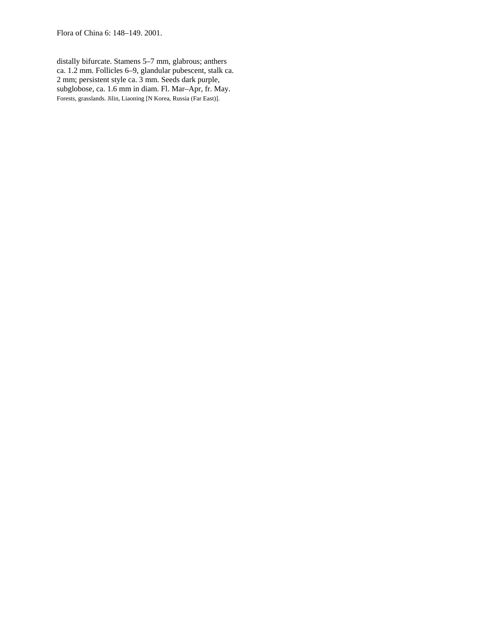Flora of China 6: 148–149. 2001.

distally bifurcate. Stamens 5–7 mm, glabrous; anthers ca. 1.2 mm. Follicles 6–9, glandular pubescent, stalk ca. 2 mm; persistent style ca. 3 mm. Seeds dark purple, subglobose, ca. 1.6 mm in diam. Fl. Mar–Apr, fr. May. Forests, grasslands. Jilin, Liaoning [N Korea, Russia (Far East)].